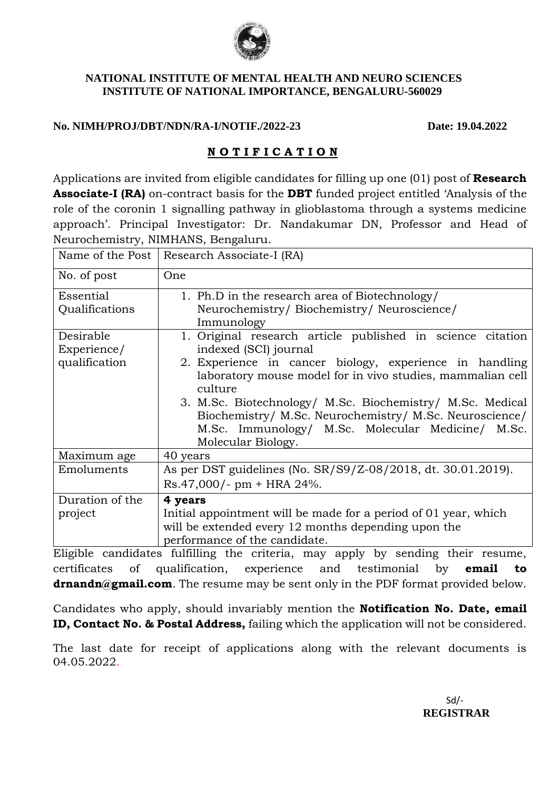

## **NATIONAL INSTITUTE OF MENTAL HEALTH AND NEURO SCIENCES INSTITUTE OF NATIONAL IMPORTANCE, BENGALURU-560029**

## **No. NIMH/PROJ/DBT/NDN/RA-I/NOTIF./2022-23 Date: 19.04.2022**

## **N O T I F I C A T I O N**

Applications are invited from eligible candidates for filling up one (01) post of **Research Associate-I (RA)** on-contract basis for the **DBT** funded project entitled 'Analysis of the role of the coronin 1 signalling pathway in glioblastoma through a systems medicine approach'. Principal Investigator: Dr. Nandakumar DN, Professor and Head of Neurochemistry, NIMHANS, Bengaluru.

|                             | Name of the Post   Research Associate-I (RA)                                                                                                                                                    |  |  |  |  |
|-----------------------------|-------------------------------------------------------------------------------------------------------------------------------------------------------------------------------------------------|--|--|--|--|
| No. of post                 | One                                                                                                                                                                                             |  |  |  |  |
| Essential<br>Qualifications | 1. Ph.D in the research area of Biotechnology/<br>Neurochemistry/Biochemistry/Neuroscience/<br>Immunology                                                                                       |  |  |  |  |
| Desirable<br>Experience/    | 1. Original research article published in science citation<br>indexed (SCI) journal                                                                                                             |  |  |  |  |
| qualification               | 2. Experience in cancer biology, experience in handling<br>laboratory mouse model for in vivo studies, mammalian cell<br>culture                                                                |  |  |  |  |
|                             | 3. M.Sc. Biotechnology/ M.Sc. Biochemistry/ M.Sc. Medical<br>Biochemistry/ M.Sc. Neurochemistry/ M.Sc. Neuroscience/<br>M.Sc. Immunology/ M.Sc. Molecular Medicine/ M.Sc.<br>Molecular Biology. |  |  |  |  |
| Maximum age                 | 40 years                                                                                                                                                                                        |  |  |  |  |
| Emoluments                  | As per DST guidelines (No. SR/S9/Z-08/2018, dt. 30.01.2019).                                                                                                                                    |  |  |  |  |
|                             | $Rs.47,000/- pm + HRA 24%.$                                                                                                                                                                     |  |  |  |  |
| Duration of the             | 4 years                                                                                                                                                                                         |  |  |  |  |
| project                     | Initial appointment will be made for a period of 01 year, which                                                                                                                                 |  |  |  |  |
|                             | will be extended every 12 months depending upon the                                                                                                                                             |  |  |  |  |
|                             | performance of the candidate.                                                                                                                                                                   |  |  |  |  |

Eligible candidates fulfilling the criteria, may apply by sending their resume, certificates of qualification, experience and testimonial by **email to drnandn@gmail.com**. The resume may be sent only in the PDF format provided below.

Candidates who apply, should invariably mention the **Notification No. Date, email ID, Contact No. & Postal Address,** failing which the application will not be considered.

The last date for receipt of applications along with the relevant documents is 04.05.2022.